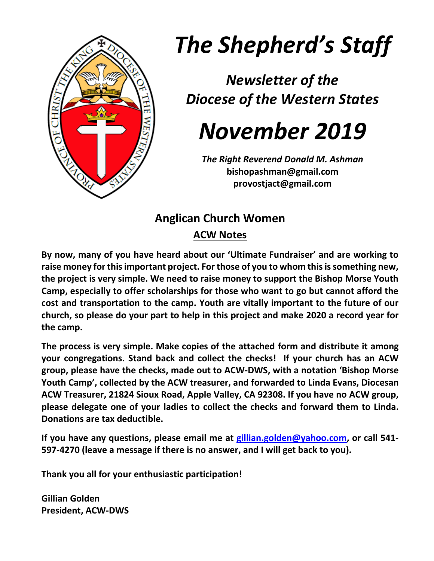

# *The Shepherd's Staff*

*Newsletter of the Diocese of the Western States*

## *November 2019*

*The Right Reverend Donald M. Ashman* **bishopashman@gmail.com provostjact@gmail.com**

### **Anglican Church Women ACW Notes**

**By now, many of you have heard about our 'Ultimate Fundraiser' and are working to raise money for this important project. For those of you to whom this is something new, the project is very simple. We need to raise money to support the Bishop Morse Youth Camp, especially to offer scholarships for those who want to go but cannot afford the cost and transportation to the camp. Youth are vitally important to the future of our church, so please do your part to help in this project and make 2020 a record year for the camp.**

**The process is very simple. Make copies of the attached form and distribute it among your congregations. Stand back and collect the checks! If your church has an ACW group, please have the checks, made out to ACW-DWS, with a notation 'Bishop Morse Youth Camp', collected by the ACW treasurer, and forwarded to Linda Evans, Diocesan ACW Treasurer, 21824 Sioux Road, Apple Valley, CA 92308. If you have no ACW group, please delegate one of your ladies to collect the checks and forward them to Linda. Donations are tax deductible.**

**If you have any questions, please email me at [gillian.golden@yahoo.com,](mailto:gillian.golden@yahoo.com) or call 541- 597-4270 (leave a message if there is no answer, and I will get back to you).**

**Thank you all for your enthusiastic participation!**

**Gillian Golden President, ACW-DWS**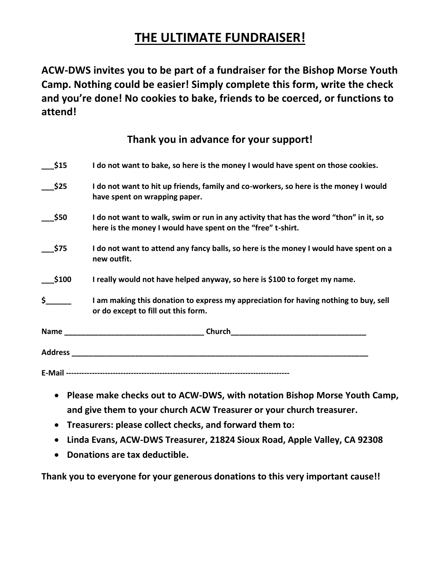#### **THE ULTIMATE FUNDRAISER!**

**ACW-DWS invites you to be part of a fundraiser for the Bishop Morse Youth Camp. Nothing could be easier! Simply complete this form, write the check and you're done! No cookies to bake, friends to be coerced, or functions to attend!**

**Thank you in advance for your support!**

| \$15     | I do not want to bake, so here is the money I would have spent on those cookies.                                                                     |
|----------|------------------------------------------------------------------------------------------------------------------------------------------------------|
| \$25     | I do not want to hit up friends, family and co-workers, so here is the money I would<br>have spent on wrapping paper.                                |
| \$50     | I do not want to walk, swim or run in any activity that has the word "thon" in it, so<br>here is the money I would have spent on the "free" t-shirt. |
| \$75     | I do not want to attend any fancy balls, so here is the money I would have spent on a<br>new outfit.                                                 |
| \$100    | I really would not have helped anyway, so here is \$100 to forget my name.                                                                           |
| $\sharp$ | I am making this donation to express my appreciation for having nothing to buy, sell<br>or do except to fill out this form.                          |
|          | <b>Name Solution Contract Contract Church Church Church</b>                                                                                          |
|          |                                                                                                                                                      |
|          |                                                                                                                                                      |

- **Please make checks out to ACW-DWS, with notation Bishop Morse Youth Camp, and give them to your church ACW Treasurer or your church treasurer.**
- **Treasurers: please collect checks, and forward them to:**
- **Linda Evans, ACW-DWS Treasurer, 21824 Sioux Road, Apple Valley, CA 92308**
- **Donations are tax deductible.**

**Thank you to everyone for your generous donations to this very important cause!!**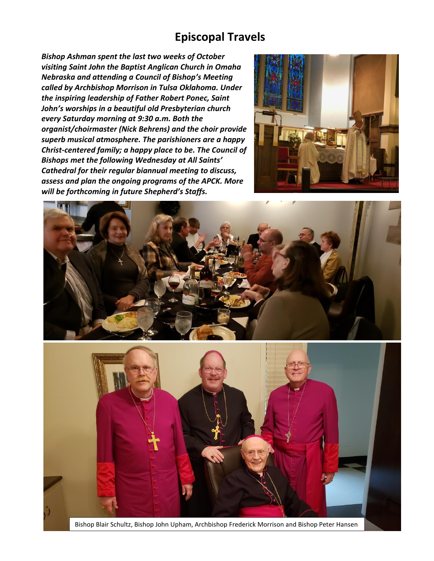#### **Episcopal Travels**

*Bishop Ashman spent the last two weeks of October visiting Saint John the Baptist Anglican Church in Omaha Nebraska and attending a Council of Bishop's Meeting called by Archbishop Morrison in Tulsa Oklahoma. Under the inspiring leadership of Father Robert Ponec, Saint John's worships in a beautiful old Presbyterian church every Saturday morning at 9:30 a.m. Both the organist/choirmaster (Nick Behrens) and the choir provide superb musical atmosphere. The parishioners are a happy Christ-centered family; a happy place to be. The Council of Bishops met the following Wednesday at All Saints' Cathedral for their regular biannual meeting to discuss, assess and plan the ongoing programs of the APCK. More will be forthcoming in future Shepherd's Staffs.*



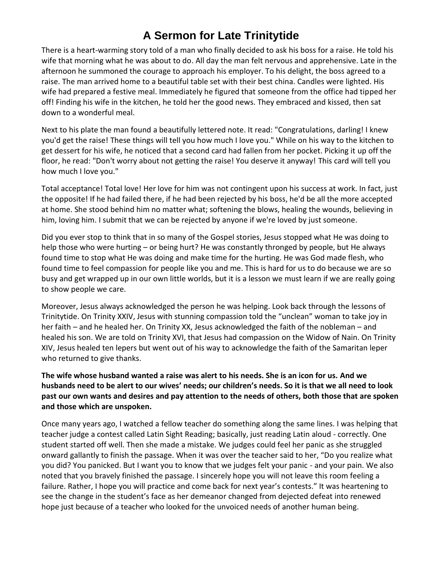#### **A Sermon for Late Trinitytide**

There is a heart-warming story told of a man who finally decided to ask his boss for a raise. He told his wife that morning what he was about to do. All day the man felt nervous and apprehensive. Late in the afternoon he summoned the courage to approach his employer. To his delight, the boss agreed to a raise. The man arrived home to a beautiful table set with their best china. Candles were lighted. His wife had prepared a festive meal. Immediately he figured that someone from the office had tipped her off! Finding his wife in the kitchen, he told her the good news. They embraced and kissed, then sat down to a wonderful meal.

Next to his plate the man found a beautifully lettered note. It read: "Congratulations, darling! I knew you'd get the raise! These things will tell you how much I love you." While on his way to the kitchen to get dessert for his wife, he noticed that a second card had fallen from her pocket. Picking it up off the floor, he read: "Don't worry about not getting the raise! You deserve it anyway! This card will tell you how much I love you."

Total acceptance! Total love! Her love for him was not contingent upon his success at work. In fact, just the opposite! If he had failed there, if he had been rejected by his boss, he'd be all the more accepted at home. She stood behind him no matter what; softening the blows, healing the wounds, believing in him, loving him. I submit that we can be rejected by anyone if we're loved by just someone.

Did you ever stop to think that in so many of the Gospel stories, Jesus stopped what He was doing to help those who were hurting – or being hurt? He was constantly thronged by people, but He always found time to stop what He was doing and make time for the hurting. He was God made flesh, who found time to feel compassion for people like you and me. This is hard for us to do because we are so busy and get wrapped up in our own little worlds, but it is a lesson we must learn if we are really going to show people we care.

Moreover, Jesus always acknowledged the person he was helping. Look back through the lessons of Trinitytide. On Trinity XXIV, Jesus with stunning compassion told the "unclean" woman to take joy in her faith – and he healed her. On Trinity XX, Jesus acknowledged the faith of the nobleman – and healed his son. We are told on Trinity XVI, that Jesus had compassion on the Widow of Nain. On Trinity XIV, Jesus healed ten lepers but went out of his way to acknowledge the faith of the Samaritan leper who returned to give thanks.

#### **The wife whose husband wanted a raise was alert to his needs. She is an icon for us. And we husbands need to be alert to our wives' needs; our children's needs. So it is that we all need to look past our own wants and desires and pay attention to the needs of others, both those that are spoken and those which are unspoken.**

Once many years ago, I watched a fellow teacher do something along the same lines. I was helping that teacher judge a contest called Latin Sight Reading; basically, just reading Latin aloud - correctly. One student started off well. Then she made a mistake. We judges could feel her panic as she struggled onward gallantly to finish the passage. When it was over the teacher said to her, "Do you realize what you did? You panicked. But I want you to know that we judges felt your panic - and your pain. We also noted that you bravely finished the passage. I sincerely hope you will not leave this room feeling a failure. Rather, I hope you will practice and come back for next year's contests." It was heartening to see the change in the student's face as her demeanor changed from dejected defeat into renewed hope just because of a teacher who looked for the unvoiced needs of another human being.